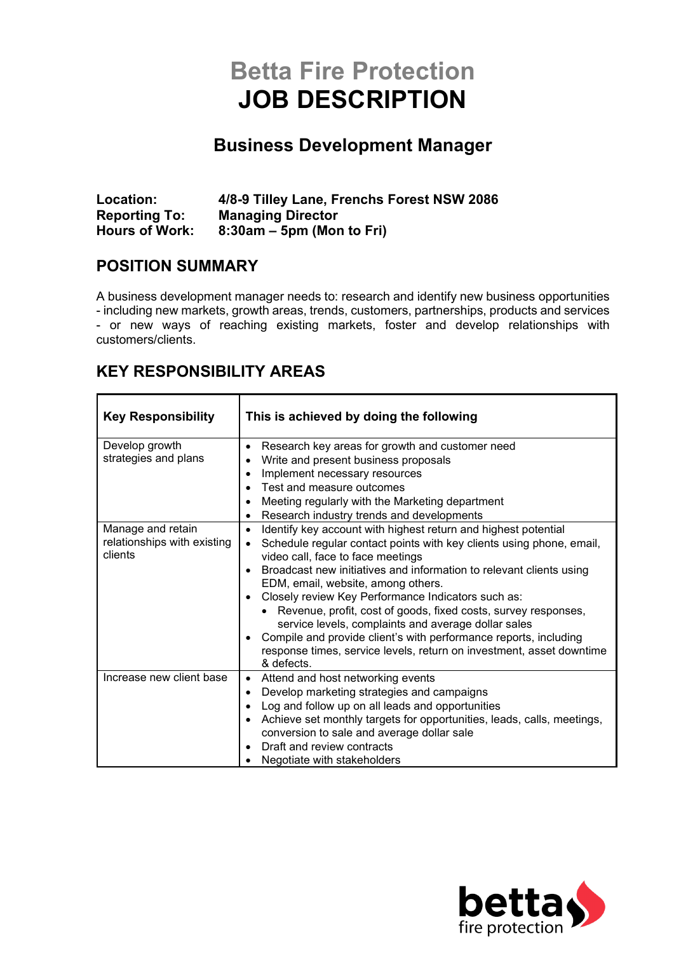# **Betta Fire Protection JOB DESCRIPTION**

## **Business Development Manager**

| Location:             | 4/8-9 Tilley Lane, Frenchs Forest NSW 2086 |
|-----------------------|--------------------------------------------|
| <b>Reporting To:</b>  | <b>Managing Director</b>                   |
| <b>Hours of Work:</b> | $8:30$ am – 5pm (Mon to Fri)               |

#### **POSITION SUMMARY**

A business development manager needs to: research and identify new business opportunities - including new markets, growth areas, trends, customers, partnerships, products and services - or new ways of reaching existing markets, foster and develop relationships with customers/clients.

#### **KEY RESPONSIBILITY AREAS**

| <b>Key Responsibility</b>                                   | This is achieved by doing the following                                                                                                                                                                                                                                                                                                                                                                                                                                                                                                                                                                                                                     |
|-------------------------------------------------------------|-------------------------------------------------------------------------------------------------------------------------------------------------------------------------------------------------------------------------------------------------------------------------------------------------------------------------------------------------------------------------------------------------------------------------------------------------------------------------------------------------------------------------------------------------------------------------------------------------------------------------------------------------------------|
| Develop growth<br>strategies and plans                      | Research key areas for growth and customer need<br>$\bullet$<br>Write and present business proposals<br>Implement necessary resources<br>Test and measure outcomes<br>Meeting regularly with the Marketing department<br>$\bullet$<br>Research industry trends and developments                                                                                                                                                                                                                                                                                                                                                                             |
| Manage and retain<br>relationships with existing<br>clients | Identify key account with highest return and highest potential<br>$\bullet$<br>Schedule regular contact points with key clients using phone, email,<br>video call, face to face meetings<br>Broadcast new initiatives and information to relevant clients using<br>EDM, email, website, among others.<br>Closely review Key Performance Indicators such as:<br>$\bullet$<br>Revenue, profit, cost of goods, fixed costs, survey responses,<br>service levels, complaints and average dollar sales<br>Compile and provide client's with performance reports, including<br>response times, service levels, return on investment, asset downtime<br>& defects. |
| Increase new client base                                    | Attend and host networking events<br>Develop marketing strategies and campaigns<br>$\bullet$<br>Log and follow up on all leads and opportunities<br>Achieve set monthly targets for opportunities, leads, calls, meetings,<br>conversion to sale and average dollar sale<br>Draft and review contracts<br>Negotiate with stakeholders                                                                                                                                                                                                                                                                                                                       |